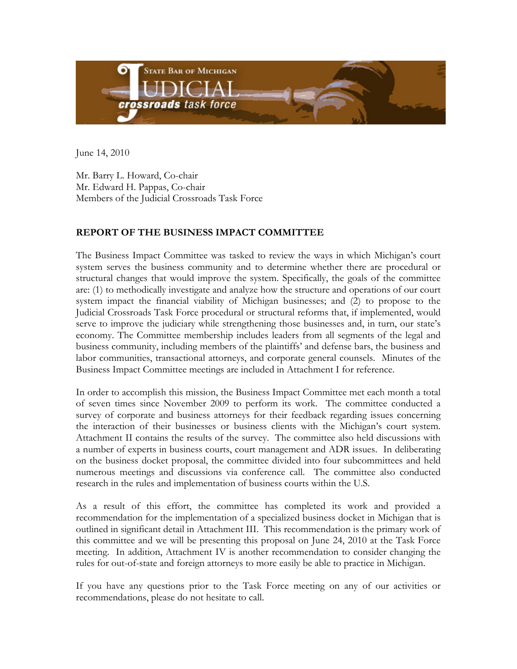

June 14, 2010

Mr. Barry L. Howard, Co-chair Mr. Edward H. Pappas, Co-chair Members of the Judicial Crossroads Task Force

## **REPORT OF THE BUSINESS IMPACT COMMITTEE**

The Business Impact Committee was tasked to review the ways in which Michigan's court system serves the business community and to determine whether there are procedural or structural changes that would improve the system. Specifically, the goals of the committee are: (1) to methodically investigate and analyze how the structure and operations of our court system impact the financial viability of Michigan businesses; and (2) to propose to the Judicial Crossroads Task Force procedural or structural reforms that, if implemented, would serve to improve the judiciary while strengthening those businesses and, in turn, our state's economy. The Committee membership includes leaders from all segments of the legal and business community, including members of the plaintiffs' and defense bars, the business and labor communities, transactional attorneys, and corporate general counsels. Minutes of the Business Impact Committee meetings are included in Attachment I for reference.

In order to accomplish this mission, the Business Impact Committee met each month a total of seven times since November 2009 to perform its work. The committee conducted a survey of corporate and business attorneys for their feedback regarding issues concerning the interaction of their businesses or business clients with the Michigan's court system. Attachment II contains the results of the survey. The committee also held discussions with a number of experts in business courts, court management and ADR issues. In deliberating on the business docket proposal, the committee divided into four subcommittees and held numerous meetings and discussions via conference call. The committee also conducted research in the rules and implementation of business courts within the U.S.

As a result of this effort, the committee has completed its work and provided a recommendation for the implementation of a specialized business docket in Michigan that is outlined in significant detail in Attachment III. This recommendation is the primary work of this committee and we will be presenting this proposal on June 24, 2010 at the Task Force meeting. In addition, Attachment IV is another recommendation to consider changing the rules for out-of-state and foreign attorneys to more easily be able to practice in Michigan.

If you have any questions prior to the Task Force meeting on any of our activities or recommendations, please do not hesitate to call.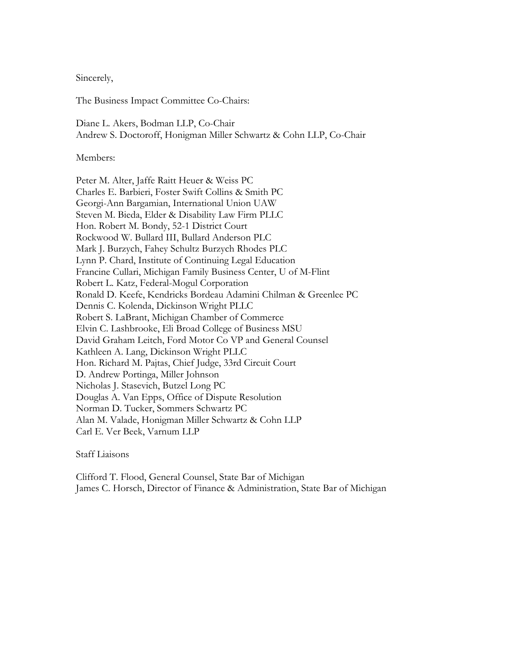Sincerely,

The Business Impact Committee Co-Chairs:

Diane L. Akers, Bodman LLP, Co-Chair Andrew S. Doctoroff, Honigman Miller Schwartz & Cohn LLP, Co-Chair

Members:

Peter M. Alter, Jaffe Raitt Heuer & Weiss PC Charles E. Barbieri, Foster Swift Collins & Smith PC Georgi-Ann Bargamian, International Union UAW Steven M. Bieda, Elder & Disability Law Firm PLLC Hon. Robert M. Bondy, 52-1 District Court Rockwood W. Bullard III, Bullard Anderson PLC Mark J. Burzych, Fahey Schultz Burzych Rhodes PLC Lynn P. Chard, Institute of Continuing Legal Education Francine Cullari, Michigan Family Business Center, U of M-Flint Robert L. Katz, Federal-Mogul Corporation Ronald D. Keefe, Kendricks Bordeau Adamini Chilman & Greenlee PC Dennis C. Kolenda, Dickinson Wright PLLC Robert S. LaBrant, Michigan Chamber of Commerce Elvin C. Lashbrooke, Eli Broad College of Business MSU David Graham Leitch, Ford Motor Co VP and General Counsel Kathleen A. Lang, Dickinson Wright PLLC Hon. Richard M. Pajtas, Chief Judge, 33rd Circuit Court D. Andrew Portinga, Miller Johnson Nicholas J. Stasevich, Butzel Long PC Douglas A. Van Epps, Office of Dispute Resolution Norman D. Tucker, Sommers Schwartz PC Alan M. Valade, Honigman Miller Schwartz & Cohn LLP Carl E. Ver Beek, Varnum LLP

Staff Liaisons

Clifford T. Flood, General Counsel, State Bar of Michigan James C. Horsch, Director of Finance & Administration, State Bar of Michigan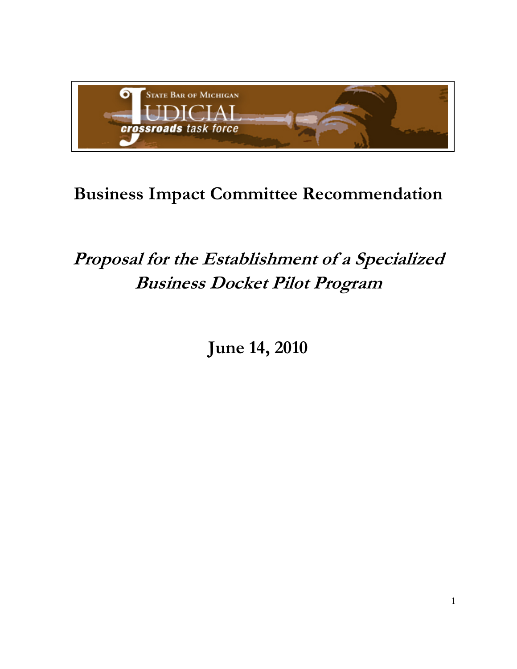

# **Business Impact Committee Recommendation**

# **Proposal for the Establishment of a Specialized Business Docket Pilot Program**

**June 14, 2010**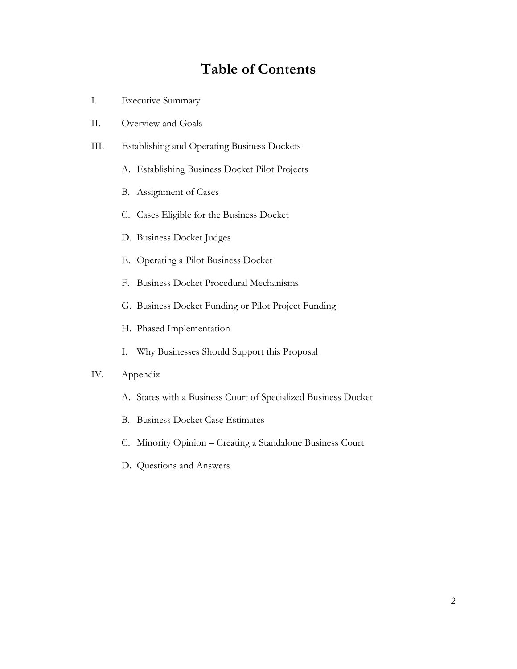## **Table of Contents**

- I. Executive Summary
- II. Overview and Goals
- III. Establishing and Operating Business Dockets
	- A. Establishing Business Docket Pilot Projects
	- B. Assignment of Cases
	- C. Cases Eligible for the Business Docket
	- D. Business Docket Judges
	- E. Operating a Pilot Business Docket
	- F. Business Docket Procedural Mechanisms
	- G. Business Docket Funding or Pilot Project Funding
	- H. Phased Implementation
	- I. Why Businesses Should Support this Proposal

#### IV. Appendix

- A. States with a Business Court of Specialized Business Docket
- B. Business Docket Case Estimates
- C. Minority Opinion Creating a Standalone Business Court
- D. Questions and Answers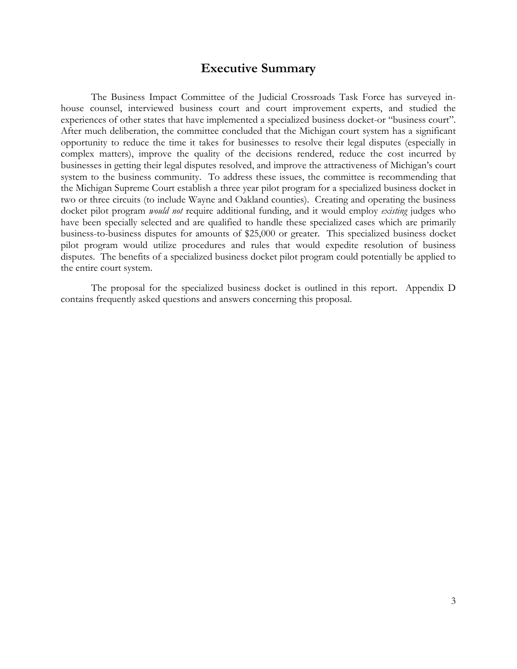## **Executive Summary**

The Business Impact Committee of the Judicial Crossroads Task Force has surveyed inhouse counsel, interviewed business court and court improvement experts, and studied the experiences of other states that have implemented a specialized business docket-or "business court". After much deliberation, the committee concluded that the Michigan court system has a significant opportunity to reduce the time it takes for businesses to resolve their legal disputes (especially in complex matters), improve the quality of the decisions rendered, reduce the cost incurred by businesses in getting their legal disputes resolved, and improve the attractiveness of Michigan's court system to the business community. To address these issues, the committee is recommending that the Michigan Supreme Court establish a three year pilot program for a specialized business docket in two or three circuits (to include Wayne and Oakland counties). Creating and operating the business docket pilot program *would not* require additional funding, and it would employ *existing* judges who have been specially selected and are qualified to handle these specialized cases which are primarily business-to-business disputes for amounts of \$25,000 or greater. This specialized business docket pilot program would utilize procedures and rules that would expedite resolution of business disputes. The benefits of a specialized business docket pilot program could potentially be applied to the entire court system.

The proposal for the specialized business docket is outlined in this report. Appendix D contains frequently asked questions and answers concerning this proposal.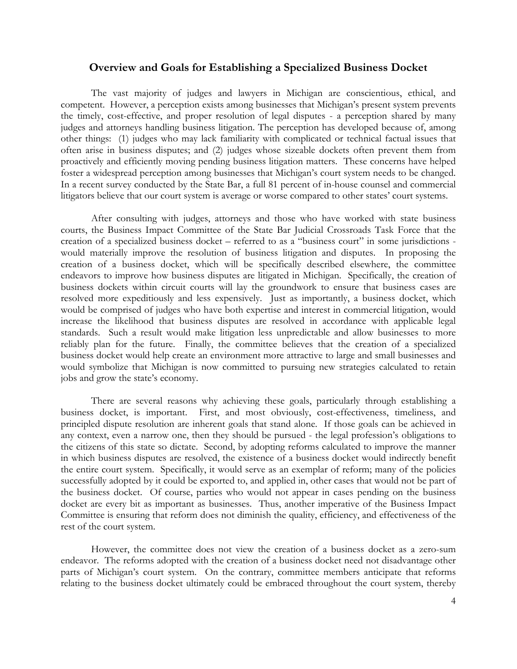#### **Overview and Goals for Establishing a Specialized Business Docket**

The vast majority of judges and lawyers in Michigan are conscientious, ethical, and competent. However, a perception exists among businesses that Michigan's present system prevents the timely, cost-effective, and proper resolution of legal disputes - a perception shared by many judges and attorneys handling business litigation. The perception has developed because of, among other things: (1) judges who may lack familiarity with complicated or technical factual issues that often arise in business disputes; and (2) judges whose sizeable dockets often prevent them from proactively and efficiently moving pending business litigation matters. These concerns have helped foster a widespread perception among businesses that Michigan's court system needs to be changed. In a recent survey conducted by the State Bar, a full 81 percent of in-house counsel and commercial litigators believe that our court system is average or worse compared to other states' court systems.

After consulting with judges, attorneys and those who have worked with state business courts, the Business Impact Committee of the State Bar Judicial Crossroads Task Force that the creation of a specialized business docket – referred to as a "business court" in some jurisdictions would materially improve the resolution of business litigation and disputes. In proposing the creation of a business docket, which will be specifically described elsewhere, the committee endeavors to improve how business disputes are litigated in Michigan. Specifically, the creation of business dockets within circuit courts will lay the groundwork to ensure that business cases are resolved more expeditiously and less expensively. Just as importantly, a business docket, which would be comprised of judges who have both expertise and interest in commercial litigation, would increase the likelihood that business disputes are resolved in accordance with applicable legal standards. Such a result would make litigation less unpredictable and allow businesses to more reliably plan for the future. Finally, the committee believes that the creation of a specialized business docket would help create an environment more attractive to large and small businesses and would symbolize that Michigan is now committed to pursuing new strategies calculated to retain jobs and grow the state's economy.

There are several reasons why achieving these goals, particularly through establishing a business docket, is important. First, and most obviously, cost-effectiveness, timeliness, and principled dispute resolution are inherent goals that stand alone. If those goals can be achieved in any context, even a narrow one, then they should be pursued - the legal profession's obligations to the citizens of this state so dictate. Second, by adopting reforms calculated to improve the manner in which business disputes are resolved, the existence of a business docket would indirectly benefit the entire court system. Specifically, it would serve as an exemplar of reform; many of the policies successfully adopted by it could be exported to, and applied in, other cases that would not be part of the business docket. Of course, parties who would not appear in cases pending on the business docket are every bit as important as businesses. Thus, another imperative of the Business Impact Committee is ensuring that reform does not diminish the quality, efficiency, and effectiveness of the rest of the court system.

However, the committee does not view the creation of a business docket as a zero-sum endeavor. The reforms adopted with the creation of a business docket need not disadvantage other parts of Michigan's court system. On the contrary, committee members anticipate that reforms relating to the business docket ultimately could be embraced throughout the court system, thereby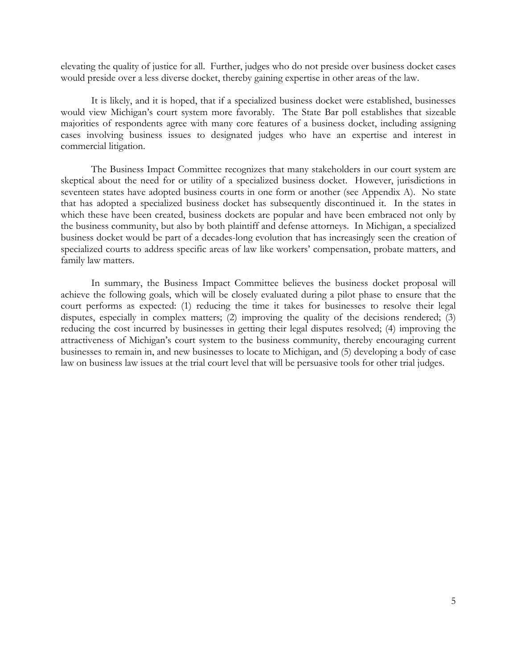elevating the quality of justice for all. Further, judges who do not preside over business docket cases would preside over a less diverse docket, thereby gaining expertise in other areas of the law.

It is likely, and it is hoped, that if a specialized business docket were established, businesses would view Michigan's court system more favorably. The State Bar poll establishes that sizeable majorities of respondents agree with many core features of a business docket, including assigning cases involving business issues to designated judges who have an expertise and interest in commercial litigation.

The Business Impact Committee recognizes that many stakeholders in our court system are skeptical about the need for or utility of a specialized business docket. However, jurisdictions in seventeen states have adopted business courts in one form or another (see Appendix A). No state that has adopted a specialized business docket has subsequently discontinued it. In the states in which these have been created, business dockets are popular and have been embraced not only by the business community, but also by both plaintiff and defense attorneys. In Michigan, a specialized business docket would be part of a decades-long evolution that has increasingly seen the creation of specialized courts to address specific areas of law like workers' compensation, probate matters, and family law matters.

 In summary, the Business Impact Committee believes the business docket proposal will achieve the following goals, which will be closely evaluated during a pilot phase to ensure that the court performs as expected: (1) reducing the time it takes for businesses to resolve their legal disputes, especially in complex matters; (2) improving the quality of the decisions rendered; (3) reducing the cost incurred by businesses in getting their legal disputes resolved; (4) improving the attractiveness of Michigan's court system to the business community, thereby encouraging current businesses to remain in, and new businesses to locate to Michigan, and (5) developing a body of case law on business law issues at the trial court level that will be persuasive tools for other trial judges.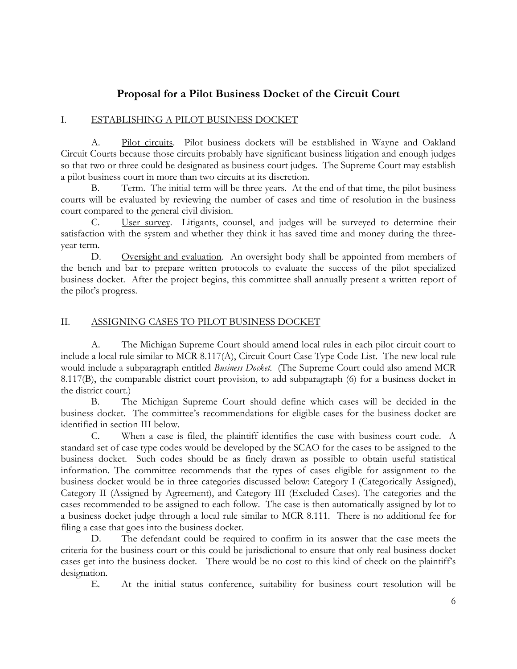## **Proposal for a Pilot Business Docket of the Circuit Court**

## I. ESTABLISHING A PILOT BUSINESS DOCKET

 A. Pilot circuits. Pilot business dockets will be established in Wayne and Oakland Circuit Courts because those circuits probably have significant business litigation and enough judges so that two or three could be designated as business court judges. The Supreme Court may establish a pilot business court in more than two circuits at its discretion.

B. Term. The initial term will be three years. At the end of that time, the pilot business courts will be evaluated by reviewing the number of cases and time of resolution in the business court compared to the general civil division.

 C. User survey. Litigants, counsel, and judges will be surveyed to determine their satisfaction with the system and whether they think it has saved time and money during the threeyear term.

D. Oversight and evaluation. An oversight body shall be appointed from members of the bench and bar to prepare written protocols to evaluate the success of the pilot specialized business docket. After the project begins, this committee shall annually present a written report of the pilot's progress.

## II. ASSIGNING CASES TO PILOT BUSINESS DOCKET

 A. The Michigan Supreme Court should amend local rules in each pilot circuit court to include a local rule similar to MCR 8.117(A), Circuit Court Case Type Code List. The new local rule would include a subparagraph entitled *Business Docket*. (The Supreme Court could also amend MCR 8.117(B), the comparable district court provision, to add subparagraph (6) for a business docket in the district court.)

 B. The Michigan Supreme Court should define which cases will be decided in the business docket. The committee's recommendations for eligible cases for the business docket are identified in section III below.

 C. When a case is filed, the plaintiff identifies the case with business court code. A standard set of case type codes would be developed by the SCAO for the cases to be assigned to the business docket. Such codes should be as finely drawn as possible to obtain useful statistical information. The committee recommends that the types of cases eligible for assignment to the business docket would be in three categories discussed below: Category I (Categorically Assigned), Category II (Assigned by Agreement), and Category III (Excluded Cases). The categories and the cases recommended to be assigned to each follow. The case is then automatically assigned by lot to a business docket judge through a local rule similar to MCR 8.111. There is no additional fee for filing a case that goes into the business docket.

 D. The defendant could be required to confirm in its answer that the case meets the criteria for the business court or this could be jurisdictional to ensure that only real business docket cases get into the business docket. There would be no cost to this kind of check on the plaintiff's designation.

E. At the initial status conference, suitability for business court resolution will be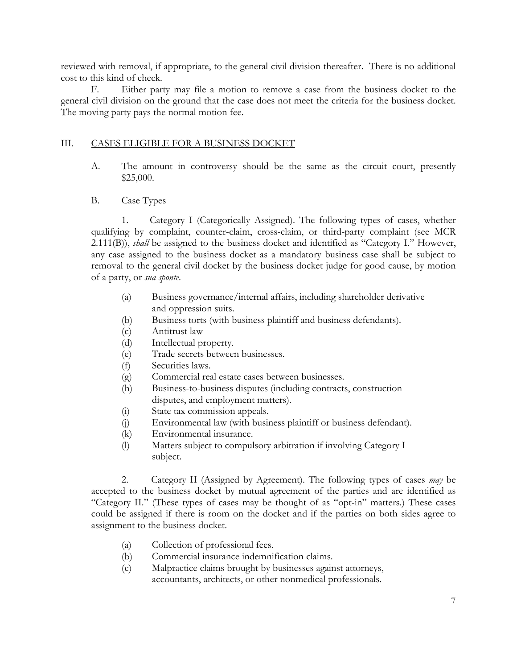reviewed with removal, if appropriate, to the general civil division thereafter. There is no additional cost to this kind of check.

 F. Either party may file a motion to remove a case from the business docket to the general civil division on the ground that the case does not meet the criteria for the business docket. The moving party pays the normal motion fee.

## III. CASES ELIGIBLE FOR A BUSINESS DOCKET

- A. The amount in controversy should be the same as the circuit court, presently \$25,000.
- B. Case Types

 1. Category I (Categorically Assigned). The following types of cases, whether qualifying by complaint, counter-claim, cross-claim, or third-party complaint (see MCR 2.111(B)), *shall* be assigned to the business docket and identified as "Category I." However, any case assigned to the business docket as a mandatory business case shall be subject to removal to the general civil docket by the business docket judge for good cause, by motion of a party, or *sua sponte*.

- (a) Business governance/internal affairs, including shareholder derivative and oppression suits.
- (b) Business torts (with business plaintiff and business defendants).
- (c) Antitrust law
- (d) Intellectual property.
- (e) Trade secrets between businesses.
- (f) Securities laws.
- (g) Commercial real estate cases between businesses.
- (h) Business-to-business disputes (including contracts, construction disputes, and employment matters).
- (i) State tax commission appeals.
- (j) Environmental law (with business plaintiff or business defendant).
- (k) Environmental insurance.
- (l) Matters subject to compulsory arbitration if involving Category I subject.

 2. Category II (Assigned by Agreement). The following types of cases *may* be accepted to the business docket by mutual agreement of the parties and are identified as "Category II." (These types of cases may be thought of as "opt-in" matters.) These cases could be assigned if there is room on the docket and if the parties on both sides agree to assignment to the business docket.

- (a) Collection of professional fees.
- (b) Commercial insurance indemnification claims.
- (c) Malpractice claims brought by businesses against attorneys, accountants, architects, or other nonmedical professionals.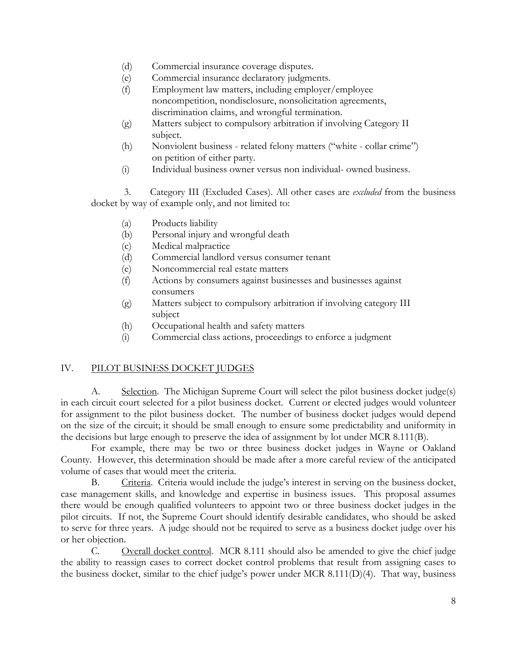- (d) Commercial insurance coverage disputes.
- (e) Commercial insurance declaratory judgments.
- (f) Employment law matters, including employer/employee noncompetition, nondisclosure, nonsolicitation agreements, discrimination claims, and wrongful termination.
- (g) Matters subject to compulsory arbitration if involving Category II subject.
- (h) Nonviolent business related felony matters ("white collar crime") on petition of either party.
- (i) Individual business owner versus non individual- owned business.

 3. Category III (Excluded Cases). All other cases are *excluded* from the business docket by way of example only, and not limited to:

- (a) Products liability
- (b) Personal injury and wrongful death
- (c) Medical malpractice
- (d) Commercial landlord versus consumer tenant
- (e) Noncommercial real estate matters
- (f) Actions by consumers against businesses and businesses against consumers
- (g) Matters subject to compulsory arbitration if involving category III subject
- (h) Occupational health and safety matters
- (i) Commercial class actions, proceedings to enforce a judgment

## IV. PILOT BUSINESS DOCKET JUDGES

A. Selection. The Michigan Supreme Court will select the pilot business docket judge(s) in each circuit court selected for a pilot business docket. Current or elected judges would volunteer for assignment to the pilot business docket. The number of business docket judges would depend on the size of the circuit; it should be small enough to ensure some predictability and uniformity in the decisions but large enough to preserve the idea of assignment by lot under MCR 8.111(B).

 For example, there may be two or three business docket judges in Wayne or Oakland County. However, this determination should be made after a more careful review of the anticipated volume of cases that would meet the criteria.

 B. Criteria. Criteria would include the judge's interest in serving on the business docket, case management skills, and knowledge and expertise in business issues. This proposal assumes there would be enough qualified volunteers to appoint two or three business docket judges in the pilot circuits. If not, the Supreme Court should identify desirable candidates, who should be asked to serve for three years. A judge should not be required to serve as a business docket judge over his or her objection.

 C. Overall docket control. MCR 8.111 should also be amended to give the chief judge the ability to reassign cases to correct docket control problems that result from assigning cases to the business docket, similar to the chief judge's power under MCR 8.111(D)(4). That way, business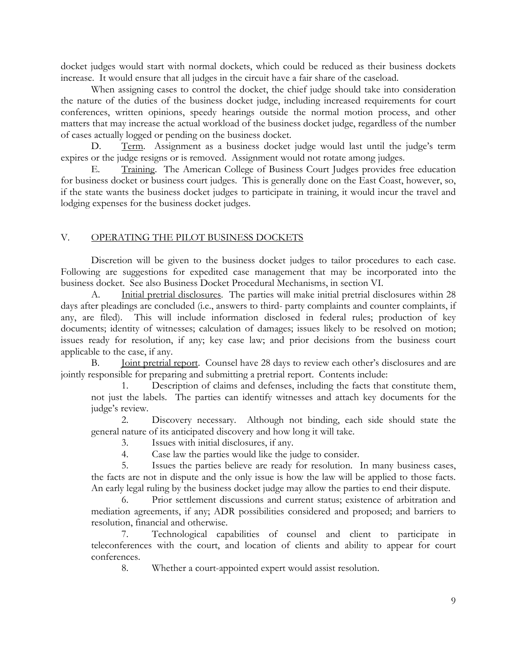docket judges would start with normal dockets, which could be reduced as their business dockets increase. It would ensure that all judges in the circuit have a fair share of the caseload.

 When assigning cases to control the docket, the chief judge should take into consideration the nature of the duties of the business docket judge, including increased requirements for court conferences, written opinions, speedy hearings outside the normal motion process, and other matters that may increase the actual workload of the business docket judge, regardless of the number of cases actually logged or pending on the business docket.

D. Term. Assignment as a business docket judge would last until the judge's term expires or the judge resigns or is removed. Assignment would not rotate among judges.

 E. Training. The American College of Business Court Judges provides free education for business docket or business court judges. This is generally done on the East Coast, however, so, if the state wants the business docket judges to participate in training, it would incur the travel and lodging expenses for the business docket judges.

#### V. OPERATING THE PILOT BUSINESS DOCKETS

 Discretion will be given to the business docket judges to tailor procedures to each case. Following are suggestions for expedited case management that may be incorporated into the business docket. See also Business Docket Procedural Mechanisms, in section VI.

 A. Initial pretrial disclosures. The parties will make initial pretrial disclosures within 28 days after pleadings are concluded (i.e., answers to third- party complaints and counter complaints, if any, are filed). This will include information disclosed in federal rules; production of key documents; identity of witnesses; calculation of damages; issues likely to be resolved on motion; issues ready for resolution, if any; key case law; and prior decisions from the business court applicable to the case, if any.

 B. Joint pretrial report. Counsel have 28 days to review each other's disclosures and are jointly responsible for preparing and submitting a pretrial report. Contents include:

Description of claims and defenses, including the facts that constitute them, not just the labels. The parties can identify witnesses and attach key documents for the judge's review.

 2. Discovery necessary. Although not binding, each side should state the general nature of its anticipated discovery and how long it will take.

3. Issues with initial disclosures, if any.

4. Case law the parties would like the judge to consider.

 5. Issues the parties believe are ready for resolution. In many business cases, the facts are not in dispute and the only issue is how the law will be applied to those facts. An early legal ruling by the business docket judge may allow the parties to end their dispute.

 6. Prior settlement discussions and current status; existence of arbitration and mediation agreements, if any; ADR possibilities considered and proposed; and barriers to resolution, financial and otherwise.

 7. Technological capabilities of counsel and client to participate in teleconferences with the court, and location of clients and ability to appear for court conferences.

8. Whether a court-appointed expert would assist resolution.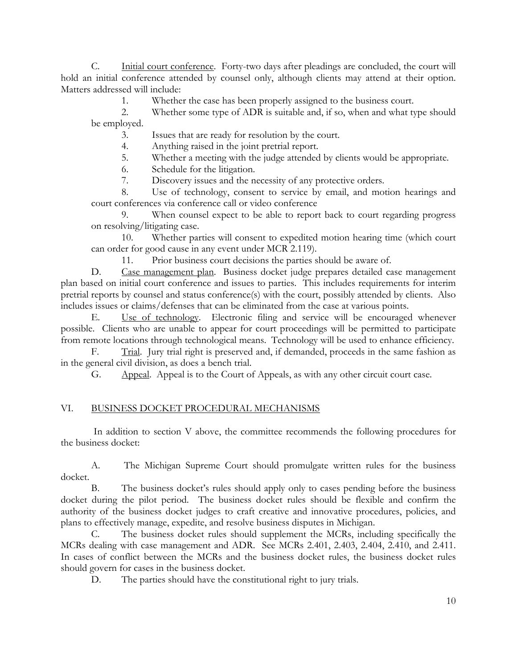C. Initial court conference. Forty-two days after pleadings are concluded, the court will hold an initial conference attended by counsel only, although clients may attend at their option. Matters addressed will include:

1. Whether the case has been properly assigned to the business court.

 2. Whether some type of ADR is suitable and, if so, when and what type should be employed.

3. Issues that are ready for resolution by the court.

4. Anything raised in the joint pretrial report.

5. Whether a meeting with the judge attended by clients would be appropriate.

6. Schedule for the litigation.

7. Discovery issues and the necessity of any protective orders.

 8. Use of technology, consent to service by email, and motion hearings and court conferences via conference call or video conference

 9. When counsel expect to be able to report back to court regarding progress on resolving/litigating case.

 10. Whether parties will consent to expedited motion hearing time (which court can order for good cause in any event under MCR 2.119).

11. Prior business court decisions the parties should be aware of.

D. Case management plan. Business docket judge prepares detailed case management plan based on initial court conference and issues to parties. This includes requirements for interim pretrial reports by counsel and status conference(s) with the court, possibly attended by clients. Also includes issues or claims/defenses that can be eliminated from the case at various points.

 E. Use of technology. Electronic filing and service will be encouraged whenever possible. Clients who are unable to appear for court proceedings will be permitted to participate from remote locations through technological means. Technology will be used to enhance efficiency.

F. Trial. Jury trial right is preserved and, if demanded, proceeds in the same fashion as in the general civil division, as does a bench trial.

G. Appeal. Appeal is to the Court of Appeals, as with any other circuit court case.

## VI. BUSINESS DOCKET PROCEDURAL MECHANISMS

 In addition to section V above, the committee recommends the following procedures for the business docket:

 A. The Michigan Supreme Court should promulgate written rules for the business docket.

 B. The business docket's rules should apply only to cases pending before the business docket during the pilot period. The business docket rules should be flexible and confirm the authority of the business docket judges to craft creative and innovative procedures, policies, and plans to effectively manage, expedite, and resolve business disputes in Michigan.

 C. The business docket rules should supplement the MCRs, including specifically the MCRs dealing with case management and ADR. See MCRs 2.401, 2.403, 2.404, 2.410, and 2.411. In cases of conflict between the MCRs and the business docket rules, the business docket rules should govern for cases in the business docket.

D. The parties should have the constitutional right to jury trials.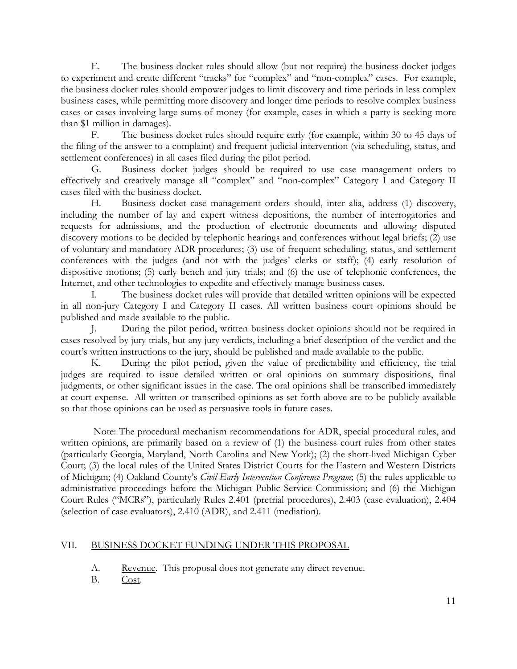E. The business docket rules should allow (but not require) the business docket judges to experiment and create different "tracks" for "complex" and "non-complex" cases. For example, the business docket rules should empower judges to limit discovery and time periods in less complex business cases, while permitting more discovery and longer time periods to resolve complex business cases or cases involving large sums of money (for example, cases in which a party is seeking more than \$1 million in damages).

 F. The business docket rules should require early (for example, within 30 to 45 days of the filing of the answer to a complaint) and frequent judicial intervention (via scheduling, status, and settlement conferences) in all cases filed during the pilot period.

 G. Business docket judges should be required to use case management orders to effectively and creatively manage all "complex" and "non-complex" Category I and Category II cases filed with the business docket.

 H. Business docket case management orders should, inter alia, address (1) discovery, including the number of lay and expert witness depositions, the number of interrogatories and requests for admissions, and the production of electronic documents and allowing disputed discovery motions to be decided by telephonic hearings and conferences without legal briefs; (2) use of voluntary and mandatory ADR procedures; (3) use of frequent scheduling, status, and settlement conferences with the judges (and not with the judges' clerks or staff); (4) early resolution of dispositive motions; (5) early bench and jury trials; and (6) the use of telephonic conferences, the Internet, and other technologies to expedite and effectively manage business cases.

 I. The business docket rules will provide that detailed written opinions will be expected in all non-jury Category I and Category II cases. All written business court opinions should be published and made available to the public.

 J. During the pilot period, written business docket opinions should not be required in cases resolved by jury trials, but any jury verdicts, including a brief description of the verdict and the court's written instructions to the jury, should be published and made available to the public.

 K. During the pilot period, given the value of predictability and efficiency, the trial judges are required to issue detailed written or oral opinions on summary dispositions, final judgments, or other significant issues in the case. The oral opinions shall be transcribed immediately at court expense. All written or transcribed opinions as set forth above are to be publicly available so that those opinions can be used as persuasive tools in future cases.

 Note: The procedural mechanism recommendations for ADR, special procedural rules, and written opinions, are primarily based on a review of (1) the business court rules from other states (particularly Georgia, Maryland, North Carolina and New York); (2) the short-lived Michigan Cyber Court; (3) the local rules of the United States District Courts for the Eastern and Western Districts of Michigan; (4) Oakland County's *Civil Early Intervention Conference Program*; (5) the rules applicable to administrative proceedings before the Michigan Public Service Commission; and (6) the Michigan Court Rules ("MCRs"), particularly Rules 2.401 (pretrial procedures), 2.403 (case evaluation), 2.404 (selection of case evaluators), 2.410 (ADR), and 2.411 (mediation).

## VII. BUSINESS DOCKET FUNDING UNDER THIS PROPOSAL

- A. Revenue. This proposal does not generate any direct revenue.
- B. Cost.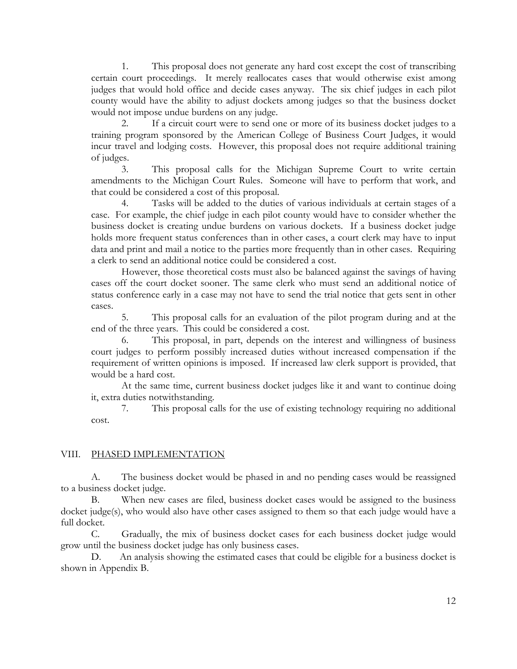1. This proposal does not generate any hard cost except the cost of transcribing certain court proceedings. It merely reallocates cases that would otherwise exist among judges that would hold office and decide cases anyway. The six chief judges in each pilot county would have the ability to adjust dockets among judges so that the business docket would not impose undue burdens on any judge.

 2. If a circuit court were to send one or more of its business docket judges to a training program sponsored by the American College of Business Court Judges, it would incur travel and lodging costs. However, this proposal does not require additional training of judges.

 3. This proposal calls for the Michigan Supreme Court to write certain amendments to the Michigan Court Rules. Someone will have to perform that work, and that could be considered a cost of this proposal.

 4. Tasks will be added to the duties of various individuals at certain stages of a case. For example, the chief judge in each pilot county would have to consider whether the business docket is creating undue burdens on various dockets. If a business docket judge holds more frequent status conferences than in other cases, a court clerk may have to input data and print and mail a notice to the parties more frequently than in other cases. Requiring a clerk to send an additional notice could be considered a cost.

 However, those theoretical costs must also be balanced against the savings of having cases off the court docket sooner. The same clerk who must send an additional notice of status conference early in a case may not have to send the trial notice that gets sent in other cases.

 5. This proposal calls for an evaluation of the pilot program during and at the end of the three years. This could be considered a cost.

 6. This proposal, in part, depends on the interest and willingness of business court judges to perform possibly increased duties without increased compensation if the requirement of written opinions is imposed. If increased law clerk support is provided, that would be a hard cost.

 At the same time, current business docket judges like it and want to continue doing it, extra duties notwithstanding.

 7. This proposal calls for the use of existing technology requiring no additional cost.

#### VIII. PHASED IMPLEMENTATION

 A. The business docket would be phased in and no pending cases would be reassigned to a business docket judge.

 B. When new cases are filed, business docket cases would be assigned to the business docket judge(s), who would also have other cases assigned to them so that each judge would have a full docket.

 C. Gradually, the mix of business docket cases for each business docket judge would grow until the business docket judge has only business cases.

 D. An analysis showing the estimated cases that could be eligible for a business docket is shown in Appendix B.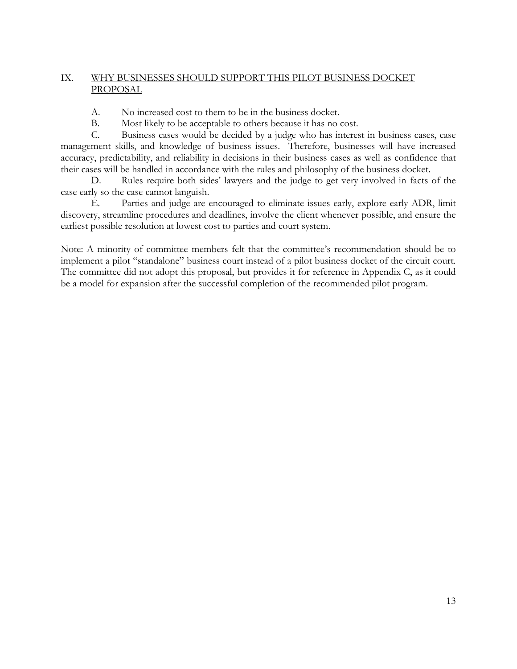## IX. WHY BUSINESSES SHOULD SUPPORT THIS PILOT BUSINESS DOCKET PROPOSAL

- A. No increased cost to them to be in the business docket.
- B. Most likely to be acceptable to others because it has no cost.

 C. Business cases would be decided by a judge who has interest in business cases, case management skills, and knowledge of business issues. Therefore, businesses will have increased accuracy, predictability, and reliability in decisions in their business cases as well as confidence that their cases will be handled in accordance with the rules and philosophy of the business docket.

 D. Rules require both sides' lawyers and the judge to get very involved in facts of the case early so the case cannot languish.

 E. Parties and judge are encouraged to eliminate issues early, explore early ADR, limit discovery, streamline procedures and deadlines, involve the client whenever possible, and ensure the earliest possible resolution at lowest cost to parties and court system.

Note: A minority of committee members felt that the committee's recommendation should be to implement a pilot "standalone" business court instead of a pilot business docket of the circuit court. The committee did not adopt this proposal, but provides it for reference in Appendix C, as it could be a model for expansion after the successful completion of the recommended pilot program.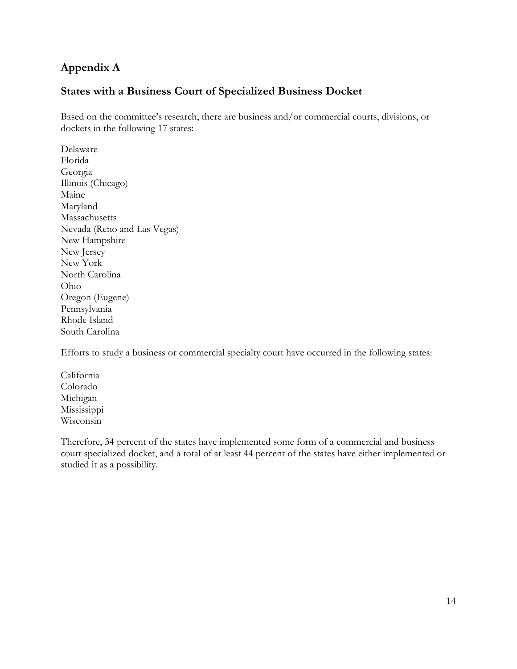## **Appendix A**

## **States with a Business Court of Specialized Business Docket**

Based on the committee's research, there are business and/or commercial courts, divisions, or dockets in the following 17 states:

Delaware Florida Georgia Illinois (Chicago) Maine Maryland Massachusetts Nevada (Reno and Las Vegas) New Hampshire New Jersey New York North Carolina Ohio Oregon (Eugene) Pennsylvania Rhode Island South Carolina

Efforts to study a business or commercial specialty court have occurred in the following states:

California Colorado Michigan Mississippi Wisconsin

Therefore, 34 percent of the states have implemented some form of a commercial and business court specialized docket, and a total of at least 44 percent of the states have either implemented or studied it as a possibility.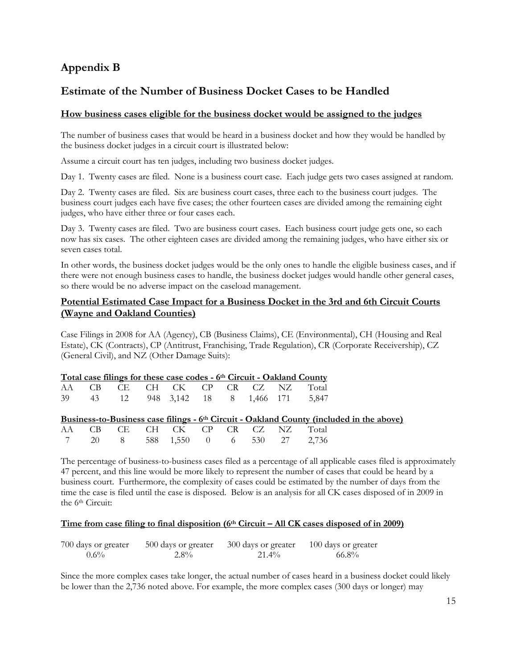## **Appendix B**

## **Estimate of the Number of Business Docket Cases to be Handled**

#### **How business cases eligible for the business docket would be assigned to the judges**

The number of business cases that would be heard in a business docket and how they would be handled by the business docket judges in a circuit court is illustrated below:

Assume a circuit court has ten judges, including two business docket judges.

Day 1. Twenty cases are filed. None is a business court case. Each judge gets two cases assigned at random.

Day 2. Twenty cases are filed. Six are business court cases, three each to the business court judges. The business court judges each have five cases; the other fourteen cases are divided among the remaining eight judges, who have either three or four cases each.

Day 3. Twenty cases are filed. Two are business court cases. Each business court judge gets one, so each now has six cases. The other eighteen cases are divided among the remaining judges, who have either six or seven cases total.

In other words, the business docket judges would be the only ones to handle the eligible business cases, and if there were not enough business cases to handle, the business docket judges would handle other general cases, so there would be no adverse impact on the caseload management.

#### **Potential Estimated Case Impact for a Business Docket in the 3rd and 6th Circuit Courts (Wayne and Oakland Counties)**

Case Filings in 2008 for AA (Agency), CB (Business Claims), CE (Environmental), CH (Housing and Real Estate), CK (Contracts), CP (Antitrust, Franchising, Trade Regulation), CR (Corporate Receivership), CZ (General Civil), and NZ (Other Damage Suits):

|  | Total case filings for these case codes - 6th Circuit - Oakland County |  |  |  |  |
|--|------------------------------------------------------------------------|--|--|--|--|
|  | AA CB CE CH CK CP CR CZ NZ Total                                       |  |  |  |  |

|  |  |  |  | AA UD UL UH UN UI UN UZ INZ TOTAL       |
|--|--|--|--|-----------------------------------------|
|  |  |  |  | 39 43 12 948 3,142 18 8 1,466 171 5,847 |

#### **Business-to-Business case filings - 6th Circuit - Oakland County (included in the above)**

|  |  | AA CB CE CH CK CP CR CZ NZ Total  |  |  |  |
|--|--|-----------------------------------|--|--|--|
|  |  | 7 20 8 588 1,550 0 6 530 27 2,736 |  |  |  |

The percentage of business-to-business cases filed as a percentage of all applicable cases filed is approximately 47 percent, and this line would be more likely to represent the number of cases that could be heard by a business court. Furthermore, the complexity of cases could be estimated by the number of days from the time the case is filed until the case is disposed. Below is an analysis for all CK cases disposed of in 2009 in the 6<sup>th</sup> Circuit:

#### **Time from case filing to final disposition (6th Circuit – All CK cases disposed of in 2009)**

| 700 days or greater | 500 days or greater | 300 days or greater | 100 days or greater |
|---------------------|---------------------|---------------------|---------------------|
| $0.6\%$             | $2.8\%$             | 21.4%               | 66.8%               |

Since the more complex cases take longer, the actual number of cases heard in a business docket could likely be lower than the 2,736 noted above. For example, the more complex cases (300 days or longer) may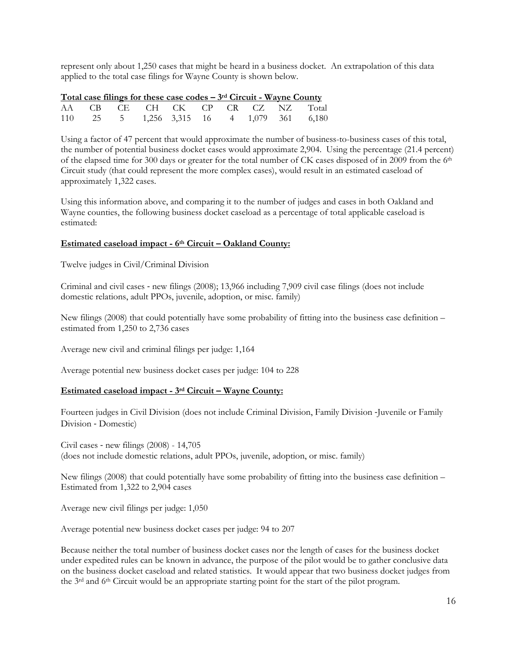represent only about 1,250 cases that might be heard in a business docket. An extrapolation of this data applied to the total case filings for Wayne County is shown below.

|  | <u>Total case filings for these case codes <math>-3</math><sup>rd</sup> Circuit - Wayne County</u> |  |  |  |                                           |
|--|----------------------------------------------------------------------------------------------------|--|--|--|-------------------------------------------|
|  |                                                                                                    |  |  |  | AA CB CE CH CK CP CR CZ NZ Total          |
|  |                                                                                                    |  |  |  | 110 25 5 1,256 3,315 16 4 1,079 361 6,180 |

Using a factor of 47 percent that would approximate the number of business-to-business cases of this total, the number of potential business docket cases would approximate 2,904. Using the percentage (21.4 percent) of the elapsed time for 300 days or greater for the total number of CK cases disposed of in 2009 from the 6th Circuit study (that could represent the more complex cases), would result in an estimated caseload of approximately 1,322 cases.

Using this information above, and comparing it to the number of judges and cases in both Oakland and Wayne counties, the following business docket caseload as a percentage of total applicable caseload is estimated:

#### **Estimated caseload impact - 6th Circuit – Oakland County:**

Twelve judges in Civil/Criminal Division

Criminal and civil cases ‐ new filings (2008); 13,966 including 7,909 civil case filings (does not include domestic relations, adult PPOs, juvenile, adoption, or misc. family)

New filings (2008) that could potentially have some probability of fitting into the business case definition – estimated from 1,250 to 2,736 cases

Average new civil and criminal filings per judge: 1,164

Average potential new business docket cases per judge: 104 to 228

#### **Estimated caseload impact - 3rd Circuit – Wayne County:**

Fourteen judges in Civil Division (does not include Criminal Division, Family Division ‐Juvenile or Family Division ‐ Domestic)

Civil cases ‐ new filings (2008) - 14,705 (does not include domestic relations, adult PPOs, juvenile, adoption, or misc. family)

New filings (2008) that could potentially have some probability of fitting into the business case definition – Estimated from 1,322 to 2,904 cases

Average new civil filings per judge: 1,050

Average potential new business docket cases per judge: 94 to 207

Because neither the total number of business docket cases nor the length of cases for the business docket under expedited rules can be known in advance, the purpose of the pilot would be to gather conclusive data on the business docket caseload and related statistics. It would appear that two business docket judges from the 3rd and 6th Circuit would be an appropriate starting point for the start of the pilot program.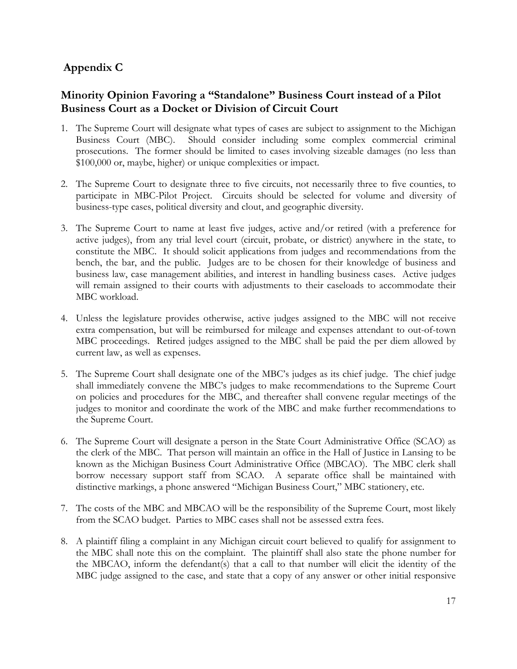## **Appendix C**

## **Minority Opinion Favoring a "Standalone" Business Court instead of a Pilot Business Court as a Docket or Division of Circuit Court**

- 1. The Supreme Court will designate what types of cases are subject to assignment to the Michigan Business Court (MBC). Should consider including some complex commercial criminal prosecutions. The former should be limited to cases involving sizeable damages (no less than \$100,000 or, maybe, higher) or unique complexities or impact.
- 2. The Supreme Court to designate three to five circuits, not necessarily three to five counties, to participate in MBC-Pilot Project. Circuits should be selected for volume and diversity of business-type cases, political diversity and clout, and geographic diversity.
- 3. The Supreme Court to name at least five judges, active and/or retired (with a preference for active judges), from any trial level court (circuit, probate, or district) anywhere in the state, to constitute the MBC. It should solicit applications from judges and recommendations from the bench, the bar, and the public. Judges are to be chosen for their knowledge of business and business law, case management abilities, and interest in handling business cases. Active judges will remain assigned to their courts with adjustments to their caseloads to accommodate their MBC workload.
- 4. Unless the legislature provides otherwise, active judges assigned to the MBC will not receive extra compensation, but will be reimbursed for mileage and expenses attendant to out-of-town MBC proceedings. Retired judges assigned to the MBC shall be paid the per diem allowed by current law, as well as expenses.
- 5. The Supreme Court shall designate one of the MBC's judges as its chief judge. The chief judge shall immediately convene the MBC's judges to make recommendations to the Supreme Court on policies and procedures for the MBC, and thereafter shall convene regular meetings of the judges to monitor and coordinate the work of the MBC and make further recommendations to the Supreme Court.
- 6. The Supreme Court will designate a person in the State Court Administrative Office (SCAO) as the clerk of the MBC. That person will maintain an office in the Hall of Justice in Lansing to be known as the Michigan Business Court Administrative Office (MBCAO). The MBC clerk shall borrow necessary support staff from SCAO. A separate office shall be maintained with distinctive markings, a phone answered "Michigan Business Court," MBC stationery, etc.
- 7. The costs of the MBC and MBCAO will be the responsibility of the Supreme Court, most likely from the SCAO budget. Parties to MBC cases shall not be assessed extra fees.
- 8. A plaintiff filing a complaint in any Michigan circuit court believed to qualify for assignment to the MBC shall note this on the complaint. The plaintiff shall also state the phone number for the MBCAO, inform the defendant(s) that a call to that number will elicit the identity of the MBC judge assigned to the case, and state that a copy of any answer or other initial responsive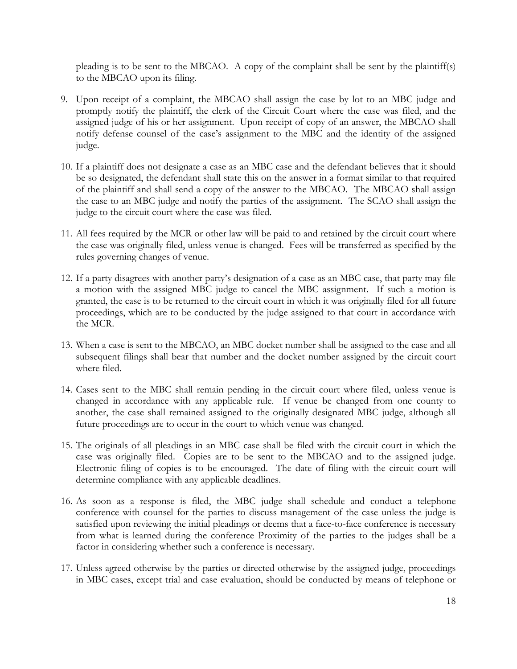pleading is to be sent to the MBCAO. A copy of the complaint shall be sent by the plaintiff(s) to the MBCAO upon its filing.

- 9. Upon receipt of a complaint, the MBCAO shall assign the case by lot to an MBC judge and promptly notify the plaintiff, the clerk of the Circuit Court where the case was filed, and the assigned judge of his or her assignment. Upon receipt of copy of an answer, the MBCAO shall notify defense counsel of the case's assignment to the MBC and the identity of the assigned judge.
- 10. If a plaintiff does not designate a case as an MBC case and the defendant believes that it should be so designated, the defendant shall state this on the answer in a format similar to that required of the plaintiff and shall send a copy of the answer to the MBCAO. The MBCAO shall assign the case to an MBC judge and notify the parties of the assignment. The SCAO shall assign the judge to the circuit court where the case was filed.
- 11. All fees required by the MCR or other law will be paid to and retained by the circuit court where the case was originally filed, unless venue is changed. Fees will be transferred as specified by the rules governing changes of venue.
- 12. If a party disagrees with another party's designation of a case as an MBC case, that party may file a motion with the assigned MBC judge to cancel the MBC assignment. If such a motion is granted, the case is to be returned to the circuit court in which it was originally filed for all future proceedings, which are to be conducted by the judge assigned to that court in accordance with the MCR.
- 13. When a case is sent to the MBCAO, an MBC docket number shall be assigned to the case and all subsequent filings shall bear that number and the docket number assigned by the circuit court where filed.
- 14. Cases sent to the MBC shall remain pending in the circuit court where filed, unless venue is changed in accordance with any applicable rule. If venue be changed from one county to another, the case shall remained assigned to the originally designated MBC judge, although all future proceedings are to occur in the court to which venue was changed.
- 15. The originals of all pleadings in an MBC case shall be filed with the circuit court in which the case was originally filed. Copies are to be sent to the MBCAO and to the assigned judge. Electronic filing of copies is to be encouraged. The date of filing with the circuit court will determine compliance with any applicable deadlines.
- 16. As soon as a response is filed, the MBC judge shall schedule and conduct a telephone conference with counsel for the parties to discuss management of the case unless the judge is satisfied upon reviewing the initial pleadings or deems that a face-to-face conference is necessary from what is learned during the conference Proximity of the parties to the judges shall be a factor in considering whether such a conference is necessary.
- 17. Unless agreed otherwise by the parties or directed otherwise by the assigned judge, proceedings in MBC cases, except trial and case evaluation, should be conducted by means of telephone or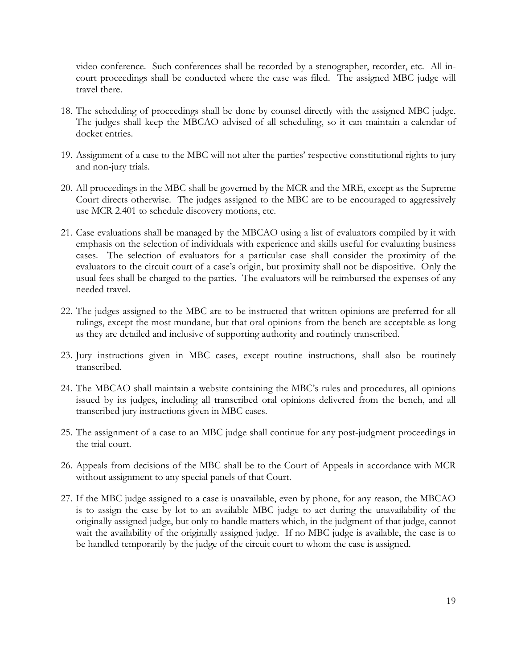video conference. Such conferences shall be recorded by a stenographer, recorder, etc. All incourt proceedings shall be conducted where the case was filed. The assigned MBC judge will travel there.

- 18. The scheduling of proceedings shall be done by counsel directly with the assigned MBC judge. The judges shall keep the MBCAO advised of all scheduling, so it can maintain a calendar of docket entries.
- 19. Assignment of a case to the MBC will not alter the parties' respective constitutional rights to jury and non-jury trials.
- 20. All proceedings in the MBC shall be governed by the MCR and the MRE, except as the Supreme Court directs otherwise. The judges assigned to the MBC are to be encouraged to aggressively use MCR 2.401 to schedule discovery motions, etc.
- 21. Case evaluations shall be managed by the MBCAO using a list of evaluators compiled by it with emphasis on the selection of individuals with experience and skills useful for evaluating business cases. The selection of evaluators for a particular case shall consider the proximity of the evaluators to the circuit court of a case's origin, but proximity shall not be dispositive. Only the usual fees shall be charged to the parties. The evaluators will be reimbursed the expenses of any needed travel.
- 22. The judges assigned to the MBC are to be instructed that written opinions are preferred for all rulings, except the most mundane, but that oral opinions from the bench are acceptable as long as they are detailed and inclusive of supporting authority and routinely transcribed.
- 23. Jury instructions given in MBC cases, except routine instructions, shall also be routinely transcribed.
- 24. The MBCAO shall maintain a website containing the MBC's rules and procedures, all opinions issued by its judges, including all transcribed oral opinions delivered from the bench, and all transcribed jury instructions given in MBC cases.
- 25. The assignment of a case to an MBC judge shall continue for any post-judgment proceedings in the trial court.
- 26. Appeals from decisions of the MBC shall be to the Court of Appeals in accordance with MCR without assignment to any special panels of that Court.
- 27. If the MBC judge assigned to a case is unavailable, even by phone, for any reason, the MBCAO is to assign the case by lot to an available MBC judge to act during the unavailability of the originally assigned judge, but only to handle matters which, in the judgment of that judge, cannot wait the availability of the originally assigned judge. If no MBC judge is available, the case is to be handled temporarily by the judge of the circuit court to whom the case is assigned.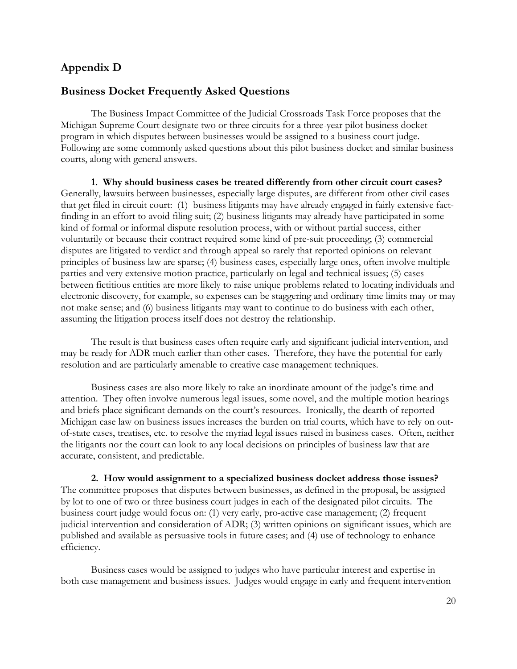## **Appendix D**

## **Business Docket Frequently Asked Questions**

 The Business Impact Committee of the Judicial Crossroads Task Force proposes that the Michigan Supreme Court designate two or three circuits for a three-year pilot business docket program in which disputes between businesses would be assigned to a business court judge. Following are some commonly asked questions about this pilot business docket and similar business courts, along with general answers.

**1. Why should business cases be treated differently from other circuit court cases?** Generally, lawsuits between businesses, especially large disputes, are different from other civil cases that get filed in circuit court: (1) business litigants may have already engaged in fairly extensive factfinding in an effort to avoid filing suit; (2) business litigants may already have participated in some kind of formal or informal dispute resolution process, with or without partial success, either voluntarily or because their contract required some kind of pre-suit proceeding; (3) commercial disputes are litigated to verdict and through appeal so rarely that reported opinions on relevant principles of business law are sparse; (4) business cases, especially large ones, often involve multiple parties and very extensive motion practice, particularly on legal and technical issues; (5) cases between fictitious entities are more likely to raise unique problems related to locating individuals and electronic discovery, for example, so expenses can be staggering and ordinary time limits may or may not make sense; and (6) business litigants may want to continue to do business with each other, assuming the litigation process itself does not destroy the relationship.

 The result is that business cases often require early and significant judicial intervention, and may be ready for ADR much earlier than other cases. Therefore, they have the potential for early resolution and are particularly amenable to creative case management techniques.

 Business cases are also more likely to take an inordinate amount of the judge's time and attention. They often involve numerous legal issues, some novel, and the multiple motion hearings and briefs place significant demands on the court's resources. Ironically, the dearth of reported Michigan case law on business issues increases the burden on trial courts, which have to rely on outof-state cases, treatises, etc. to resolve the myriad legal issues raised in business cases. Often, neither the litigants nor the court can look to any local decisions on principles of business law that are accurate, consistent, and predictable.

**2. How would assignment to a specialized business docket address those issues?** The committee proposes that disputes between businesses, as defined in the proposal, be assigned by lot to one of two or three business court judges in each of the designated pilot circuits. The business court judge would focus on: (1) very early, pro-active case management; (2) frequent judicial intervention and consideration of ADR; (3) written opinions on significant issues, which are published and available as persuasive tools in future cases; and (4) use of technology to enhance efficiency.

 Business cases would be assigned to judges who have particular interest and expertise in both case management and business issues. Judges would engage in early and frequent intervention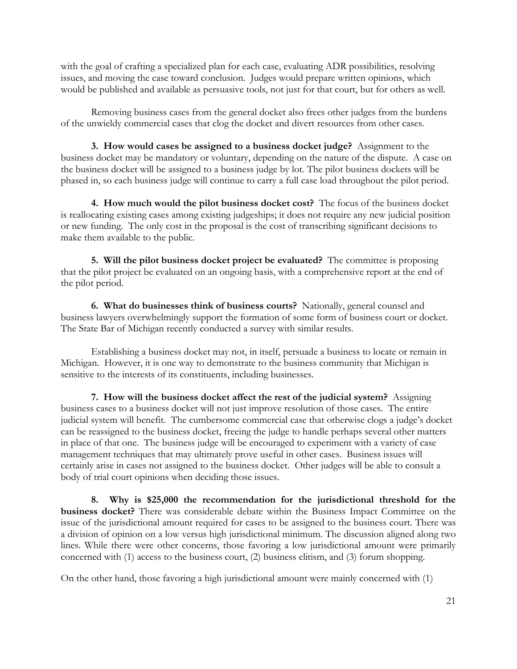with the goal of crafting a specialized plan for each case, evaluating ADR possibilities, resolving issues, and moving the case toward conclusion. Judges would prepare written opinions, which would be published and available as persuasive tools, not just for that court, but for others as well.

 Removing business cases from the general docket also frees other judges from the burdens of the unwieldy commercial cases that clog the docket and divert resources from other cases.

**3. How would cases be assigned to a business docket judge?** Assignment to the business docket may be mandatory or voluntary, depending on the nature of the dispute. A case on the business docket will be assigned to a business judge by lot. The pilot business dockets will be phased in, so each business judge will continue to carry a full case load throughout the pilot period.

**4. How much would the pilot business docket cost?** The focus of the business docket is reallocating existing cases among existing judgeships; it does not require any new judicial position or new funding. The only cost in the proposal is the cost of transcribing significant decisions to make them available to the public.

**5. Will the pilot business docket project be evaluated?** The committee is proposing that the pilot project be evaluated on an ongoing basis, with a comprehensive report at the end of the pilot period.

**6. What do businesses think of business courts?** Nationally, general counsel and business lawyers overwhelmingly support the formation of some form of business court or docket. The State Bar of Michigan recently conducted a survey with similar results.

 Establishing a business docket may not, in itself, persuade a business to locate or remain in Michigan. However, it is one way to demonstrate to the business community that Michigan is sensitive to the interests of its constituents, including businesses.

**7. How will the business docket affect the rest of the judicial system?** Assigning business cases to a business docket will not just improve resolution of those cases. The entire judicial system will benefit. The cumbersome commercial case that otherwise clogs a judge's docket can be reassigned to the business docket, freeing the judge to handle perhaps several other matters in place of that one. The business judge will be encouraged to experiment with a variety of case management techniques that may ultimately prove useful in other cases. Business issues will certainly arise in cases not assigned to the business docket. Other judges will be able to consult a body of trial court opinions when deciding those issues.

**8. Why is \$25,000 the recommendation for the jurisdictional threshold for the business docket?** There was considerable debate within the Business Impact Committee on the issue of the jurisdictional amount required for cases to be assigned to the business court. There was a division of opinion on a low versus high jurisdictional minimum. The discussion aligned along two lines. While there were other concerns, those favoring a low jurisdictional amount were primarily concerned with (1) access to the business court, (2) business elitism, and (3) forum shopping.

On the other hand, those favoring a high jurisdictional amount were mainly concerned with (1)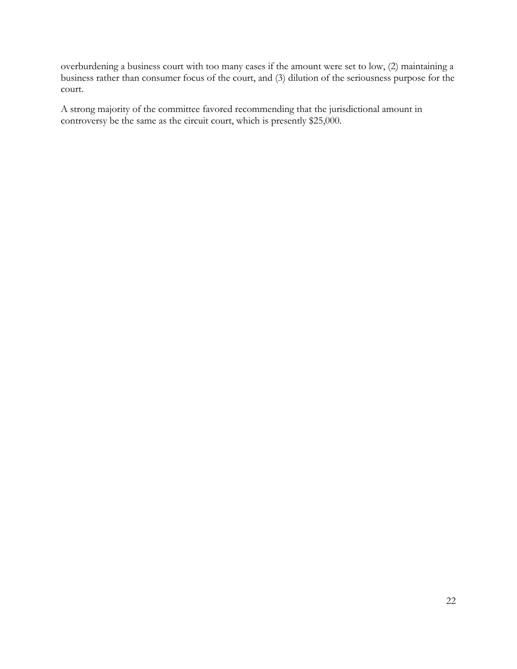overburdening a business court with too many cases if the amount were set to low, (2) maintaining a business rather than consumer focus of the court, and (3) dilution of the seriousness purpose for the court.

A strong majority of the committee favored recommending that the jurisdictional amount in controversy be the same as the circuit court, which is presently \$25,000.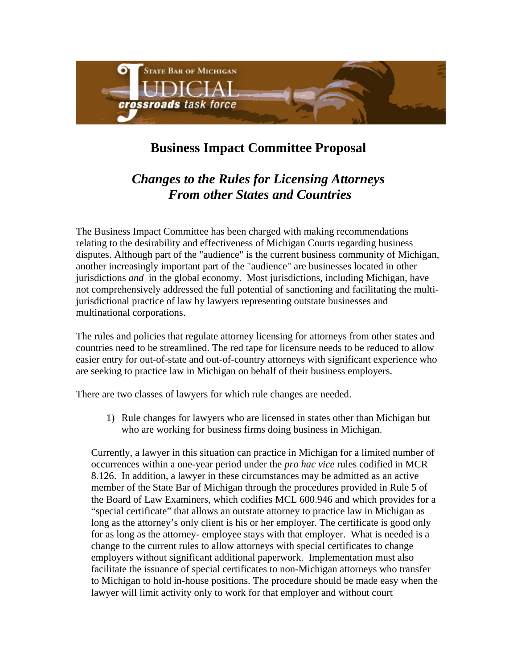

# **Business Impact Committee Proposal**

## *Changes to the Rules for Licensing Attorneys From other States and Countries*

The Business Impact Committee has been charged with making recommendations relating to the desirability and effectiveness of Michigan Courts regarding business disputes. Although part of the "audience" is the current business community of Michigan, another increasingly important part of the "audience" are businesses located in other jurisdictions *and* in the global economy. Most jurisdictions, including Michigan, have not comprehensively addressed the full potential of sanctioning and facilitating the multijurisdictional practice of law by lawyers representing outstate businesses and multinational corporations.

The rules and policies that regulate attorney licensing for attorneys from other states and countries need to be streamlined. The red tape for licensure needs to be reduced to allow easier entry for out-of-state and out-of-country attorneys with significant experience who are seeking to practice law in Michigan on behalf of their business employers.

There are two classes of lawyers for which rule changes are needed.

1) Rule changes for lawyers who are licensed in states other than Michigan but who are working for business firms doing business in Michigan.

Currently, a lawyer in this situation can practice in Michigan for a limited number of occurrences within a one-year period under the *pro hac vice* rules codified in MCR 8.126. In addition, a lawyer in these circumstances may be admitted as an active member of the State Bar of Michigan through the procedures provided in Rule 5 of the Board of Law Examiners, which codifies MCL 600.946 and which provides for a "special certificate" that allows an outstate attorney to practice law in Michigan as long as the attorney's only client is his or her employer. The certificate is good only for as long as the attorney- employee stays with that employer. What is needed is a change to the current rules to allow attorneys with special certificates to change employers without significant additional paperwork. Implementation must also facilitate the issuance of special certificates to non-Michigan attorneys who transfer to Michigan to hold in-house positions. The procedure should be made easy when the lawyer will limit activity only to work for that employer and without court